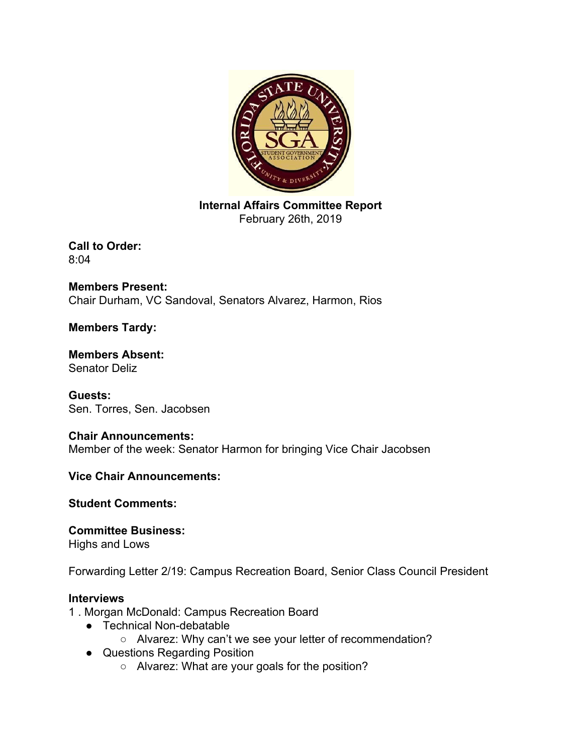

**Internal Affairs Committee Report** February 26th, 2019

**Call to Order:** 8:04

**Members Present:** Chair Durham, VC Sandoval, Senators Alvarez, Harmon, Rios

## **Members Tardy:**

**Members Absent:** Senator Deliz

**Guests:** Sen. Torres, Sen. Jacobsen

#### **Chair Announcements:** Member of the week: Senator Harmon for bringing Vice Chair Jacobsen

**Vice Chair Announcements:**

**Student Comments:**

**Committee Business:** Highs and Lows

Forwarding Letter 2/19: Campus Recreation Board, Senior Class Council President

### **Interviews**

1 . Morgan McDonald: Campus Recreation Board

- Technical Non-debatable
	- Alvarez: Why can't we see your letter of recommendation?
- Questions Regarding Position
	- Alvarez: What are your goals for the position?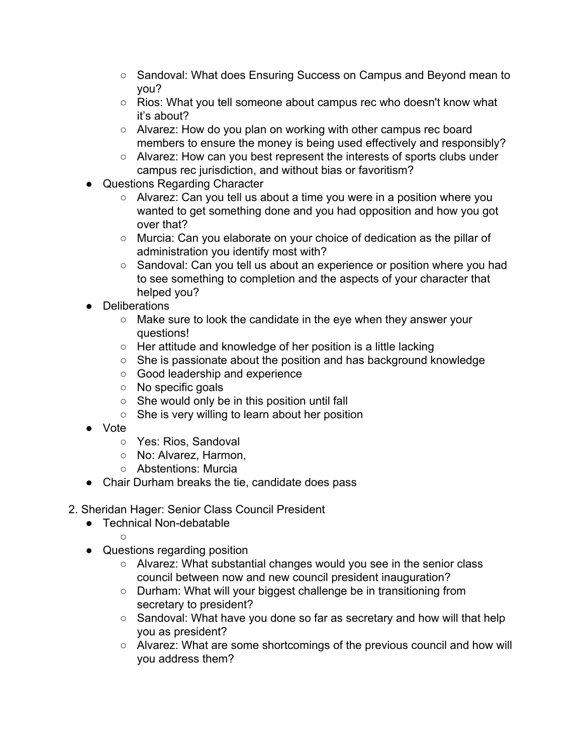- Sandoval: What does Ensuring Success on Campus and Beyond mean to you?
- Rios: What you tell someone about campus rec who doesn't know what it's about?
- Alvarez: How do you plan on working with other campus rec board members to ensure the money is being used effectively and responsibly?
- Alvarez: How can you best represent the interests of sports clubs under campus rec jurisdiction, and without bias or favoritism?
- Questions Regarding Character
	- Alvarez: Can you tell us about a time you were in a position where you wanted to get something done and you had opposition and how you got over that?
	- Murcia: Can you elaborate on your choice of dedication as the pillar of administration you identify most with?
	- Sandoval: Can you tell us about an experience or position where you had to see something to completion and the aspects of your character that helped you?
- Deliberations
	- Make sure to look the candidate in the eye when they answer your questions!
	- Her attitude and knowledge of her position is a little lacking
	- She is passionate about the position and has background knowledge
	- Good leadership and experience
	- No specific goals
	- She would only be in this position until fall
	- She is very willing to learn about her position
- Vote
	- Yes: Rios, Sandoval
	- No: Alvarez, Harmon,
	- Abstentions: Murcia
- Chair Durham breaks the tie, candidate does pass
- 2. Sheridan Hager: Senior Class Council President
	- Technical Non-debatable
		-

 $\bigcap$ 

- Questions regarding position
	- Alvarez: What substantial changes would you see in the senior class council between now and new council president inauguration?
	- Durham: What will your biggest challenge be in transitioning from secretary to president?
	- Sandoval: What have you done so far as secretary and how will that help you as president?
	- Alvarez: What are some shortcomings of the previous council and how will you address them?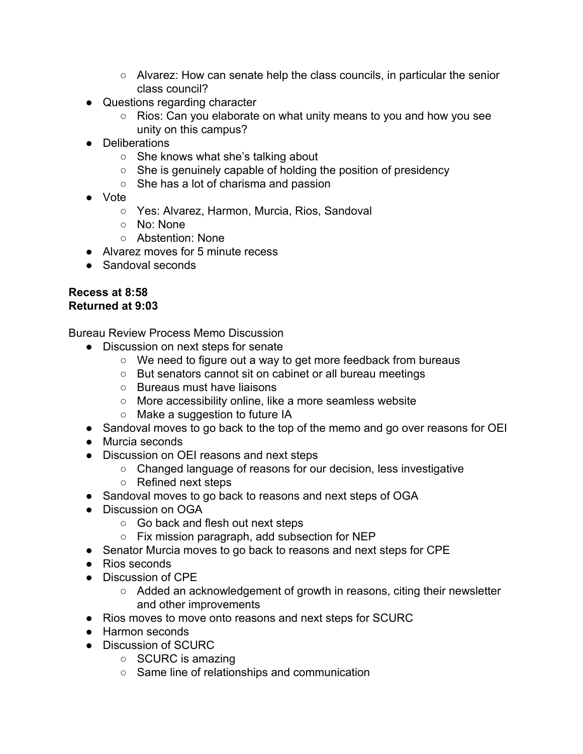- Alvarez: How can senate help the class councils, in particular the senior class council?
- Questions regarding character
	- Rios: Can you elaborate on what unity means to you and how you see unity on this campus?
- Deliberations
	- She knows what she's talking about
	- She is genuinely capable of holding the position of presidency
	- She has a lot of charisma and passion
- Vote
	- Yes: Alvarez, Harmon, Murcia, Rios, Sandoval
	- No: None
	- Abstention: None
- Alvarez moves for 5 minute recess
- Sandoval seconds

#### **Recess at 8:58 Returned at 9:03**

Bureau Review Process Memo Discussion

- Discussion on next steps for senate
	- We need to figure out a way to get more feedback from bureaus
	- But senators cannot sit on cabinet or all bureau meetings
	- Bureaus must have liaisons
	- More accessibility online, like a more seamless website
	- Make a suggestion to future IA
- Sandoval moves to go back to the top of the memo and go over reasons for OEI
- Murcia seconds
- Discussion on OEI reasons and next steps
	- Changed language of reasons for our decision, less investigative
	- Refined next steps
- Sandoval moves to go back to reasons and next steps of OGA
- Discussion on OGA
	- Go back and flesh out next steps
	- Fix mission paragraph, add subsection for NEP
- Senator Murcia moves to go back to reasons and next steps for CPE
- Rios seconds
- Discussion of CPE
	- Added an acknowledgement of growth in reasons, citing their newsletter and other improvements
- Rios moves to move onto reasons and next steps for SCURC
- Harmon seconds
- Discussion of SCURC
	- SCURC is amazing
	- Same line of relationships and communication